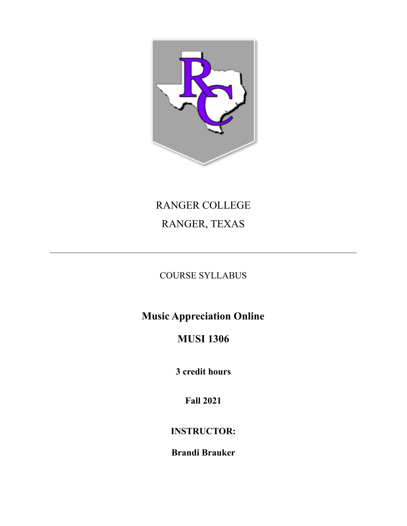

# RANGER COLLEGE RANGER, TEXAS

# COURSE SYLLABUS

**Music Appreciation Online**

# **MUSI 1306**

**3 credit hours**

**Fall 2021**

# **INSTRUCTOR:**

**Brandi Brauker**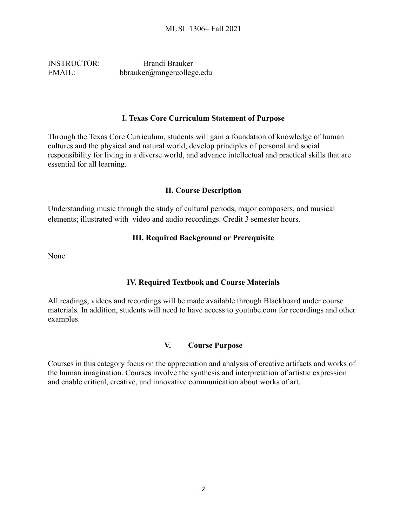INSTRUCTOR: Brandi Brauker EMAIL: bbrauker@rangercollege.edu

### **I. Texas Core Curriculum Statement of Purpose**

Through the Texas Core Curriculum, students will gain a foundation of knowledge of human cultures and the physical and natural world, develop principles of personal and social responsibility for living in a diverse world, and advance intellectual and practical skills that are essential for all learning.

# **II. Course Description**

Understanding music through the study of cultural periods, major composers, and musical elements; illustrated with video and audio recordings. Credit 3 semester hours.

# **III. Required Background or Prerequisite**

None

# **IV. Required Textbook and Course Materials**

All readings, videos and recordings will be made available through Blackboard under course materials. In addition, students will need to have access to youtube.com for recordings and other examples.

# **V. Course Purpose**

Courses in this category focus on the appreciation and analysis of creative artifacts and works of the human imagination. Courses involve the synthesis and interpretation of artistic expression and enable critical, creative, and innovative communication about works of art.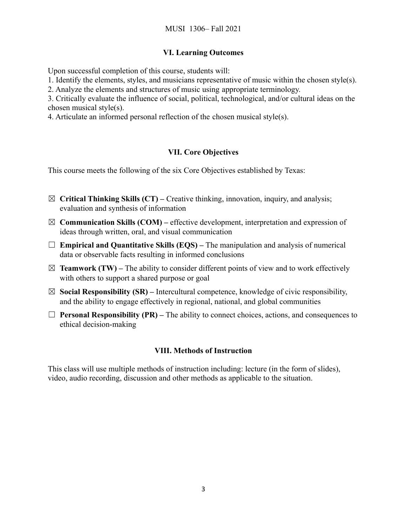# **VI. Learning Outcomes**

Upon successful completion of this course, students will:

1. Identify the elements, styles, and musicians representative of music within the chosen style(s).

2. Analyze the elements and structures of music using appropriate terminology.

3. Critically evaluate the influence of social, political, technological, and/or cultural ideas on the chosen musical style(s).

4. Articulate an informed personal reflection of the chosen musical style(s).

# **VII. Core Objectives**

This course meets the following of the six Core Objectives established by Texas:

- ☒ **Critical Thinking Skills (CT) –** Creative thinking, innovation, inquiry, and analysis; evaluation and synthesis of information
- ☒ **Communication Skills (COM) –** effective development, interpretation and expression of ideas through written, oral, and visual communication
- ☐ **Empirical and Quantitative Skills (EQS) –** The manipulation and analysis of numerical data or observable facts resulting in informed conclusions
- $\boxtimes$  **Teamwork (TW)** The ability to consider different points of view and to work effectively with others to support a shared purpose or goal
- $\boxtimes$  **Social Responsibility (SR)** Intercultural competence, knowledge of civic responsibility, and the ability to engage effectively in regional, national, and global communities
- ☐ **Personal Responsibility (PR) –** The ability to connect choices, actions, and consequences to ethical decision-making

# **VIII. Methods of Instruction**

This class will use multiple methods of instruction including: lecture (in the form of slides), video, audio recording, discussion and other methods as applicable to the situation.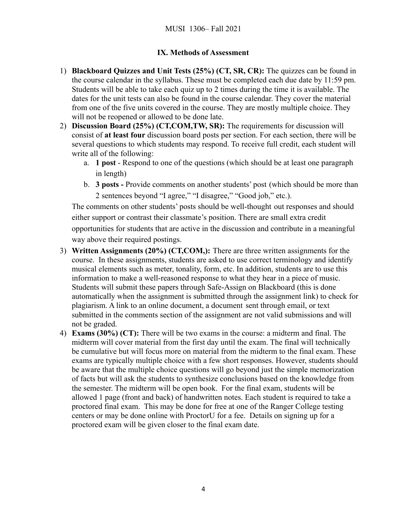# **IX. Methods of Assessment**

- 1) **Blackboard Quizzes and Unit Tests (25%) (CT, SR, CR):** The quizzes can be found in the course calendar in the syllabus. These must be completed each due date by 11:59 pm. Students will be able to take each quiz up to 2 times during the time it is available. The dates for the unit tests can also be found in the course calendar. They cover the material from one of the five units covered in the course. They are mostly multiple choice. They will not be reopened or allowed to be done late.
- 2) **Discussion Board (25%) (CT,COM,TW, SR):** The requirements for discussion will consist of **at least four** discussion board posts per section. For each section, there will be several questions to which students may respond. To receive full credit, each student will write all of the following:
	- a. **1 post** Respond to one of the questions (which should be at least one paragraph in length)
	- b. **3 posts -** Provide comments on another students' post (which should be more than 2 sentences beyond "I agree," "I disagree," "Good job," etc.).

The comments on other students' posts should be well-thought out responses and should either support or contrast their classmate's position. There are small extra credit opportunities for students that are active in the discussion and contribute in a meaningful way above their required postings.

- 3) **Written Assignments (20%) (CT,COM,):** There are three written assignments for the course. In these assignments, students are asked to use correct terminology and identify musical elements such as meter, tonality, form, etc. In addition, students are to use this information to make a well-reasoned response to what they hear in a piece of music. Students will submit these papers through Safe-Assign on Blackboard (this is done automatically when the assignment is submitted through the assignment link) to check for plagiarism. A link to an online document, a document sent through email, or text submitted in the comments section of the assignment are not valid submissions and will not be graded.
- 4) **Exams (30%) (CT):** There will be two exams in the course: a midterm and final. The midterm will cover material from the first day until the exam. The final will technically be cumulative but will focus more on material from the midterm to the final exam. These exams are typically multiple choice with a few short responses. However, students should be aware that the multiple choice questions will go beyond just the simple memorization of facts but will ask the students to synthesize conclusions based on the knowledge from the semester. The midterm will be open book. For the final exam, students will be allowed 1 page (front and back) of handwritten notes. Each student is required to take a proctored final exam. This may be done for free at one of the Ranger College testing centers or may be done online with ProctorU for a fee. Details on signing up for a proctored exam will be given closer to the final exam date.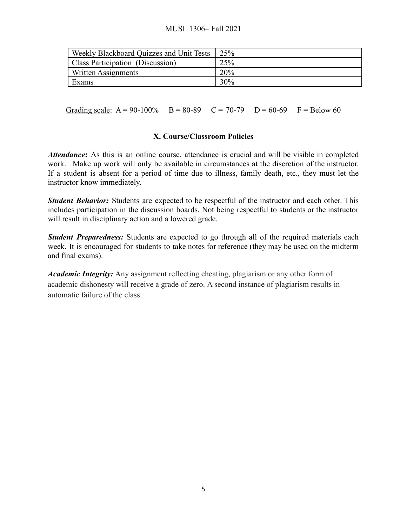# MUSI 1306– Fall 2021

| Weekly Blackboard Quizzes and Unit Tests | 25%    |
|------------------------------------------|--------|
| Class Participation (Discussion)         | 25%    |
| Written Assignments                      | 20%    |
| Exams                                    | $30\%$ |

Grading scale:  $A = 90-100\%$  B = 80-89 C = 70-79 D = 60-69 F = Below 60

### **X. Course/Classroom Policies**

*Attendance***:** As this is an online course, attendance is crucial and will be visible in completed work. Make up work will only be available in circumstances at the discretion of the instructor. If a student is absent for a period of time due to illness, family death, etc., they must let the instructor know immediately.

*Student Behavior:* Students are expected to be respectful of the instructor and each other. This includes participation in the discussion boards. Not being respectful to students or the instructor will result in disciplinary action and a lowered grade.

*Student Preparedness:* Students are expected to go through all of the required materials each week. It is encouraged for students to take notes for reference (they may be used on the midterm and final exams).

*Academic Integrity:* Any assignment reflecting cheating, plagiarism or any other form of academic dishonesty will receive a grade of zero. A second instance of plagiarism results in automatic failure of the class.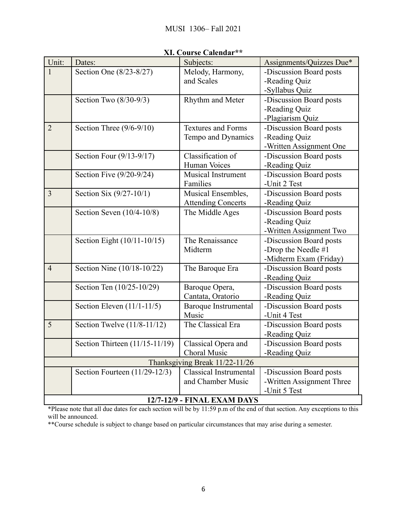| Unit:                          | Dates:                         | An. Course Calendar<br>Subjects: | Assignments/Quizzes Due*  |
|--------------------------------|--------------------------------|----------------------------------|---------------------------|
| 1                              | Section One (8/23-8/27)        | Melody, Harmony,                 | -Discussion Board posts   |
|                                |                                | and Scales                       | -Reading Quiz             |
|                                |                                |                                  | -Syllabus Quiz            |
|                                | Section Two $(8/30-9/3)$       | Rhythm and Meter                 | -Discussion Board posts   |
|                                |                                |                                  | -Reading Quiz             |
|                                |                                |                                  | -Plagiarism Quiz          |
| $\overline{2}$                 | Section Three $(9/6-9/10)$     | <b>Textures and Forms</b>        | -Discussion Board posts   |
|                                |                                | Tempo and Dynamics               | -Reading Quiz             |
|                                |                                |                                  | -Written Assignment One   |
|                                | Section Four (9/13-9/17)       | Classification of                | -Discussion Board posts   |
|                                |                                | Human Voices                     | -Reading Quiz             |
|                                | Section Five (9/20-9/24)       | Musical Instrument               | -Discussion Board posts   |
|                                |                                | Families                         | -Unit 2 Test              |
| 3                              | Section Six $(9/27-10/1)$      | Musical Ensembles,               | -Discussion Board posts   |
|                                |                                | <b>Attending Concerts</b>        | -Reading Quiz             |
|                                | Section Seven (10/4-10/8)      | The Middle Ages                  | -Discussion Board posts   |
|                                |                                |                                  | -Reading Quiz             |
|                                |                                |                                  | -Written Assignment Two   |
|                                | Section Eight (10/11-10/15)    | The Renaissance                  | -Discussion Board posts   |
|                                |                                | Midterm                          | -Drop the Needle $#1$     |
|                                |                                |                                  | -Midterm Exam (Friday)    |
| $\overline{4}$                 | Section Nine (10/18-10/22)     | The Baroque Era                  | -Discussion Board posts   |
|                                |                                |                                  | -Reading Quiz             |
|                                | Section Ten (10/25-10/29)      | Baroque Opera,                   | -Discussion Board posts   |
|                                |                                | Cantata, Oratorio                | -Reading Quiz             |
|                                | Section Eleven $(11/1-11/5)$   | Baroque Instrumental             | -Discussion Board posts   |
|                                |                                | Music                            | -Unit 4 Test              |
| 5                              | Section Twelve $(11/8-11/12)$  | The Classical Era                | -Discussion Board posts   |
|                                |                                |                                  | -Reading Quiz             |
|                                | Section Thirteen (11/15-11/19) | Classical Opera and              | -Discussion Board posts   |
|                                |                                | Choral Music                     | -Reading Quiz             |
| Thanksgiving Break 11/22-11/26 |                                |                                  |                           |
|                                | Section Fourteen (11/29-12/3)  | <b>Classical Instrumental</b>    | -Discussion Board posts   |
|                                |                                | and Chamber Music                | -Written Assignment Three |
| -Unit 5 Test                   |                                |                                  |                           |
| 12/7-12/9 - FINAL EXAM DAYS    |                                |                                  |                           |

# **XI. Course Calendar\*\***

\*Please note that all due dates for each section will be by 11:59 p.m of the end of that section. Any exceptions to this will be announced.

\*\*Course schedule is subject to change based on particular circumstances that may arise during a semester.